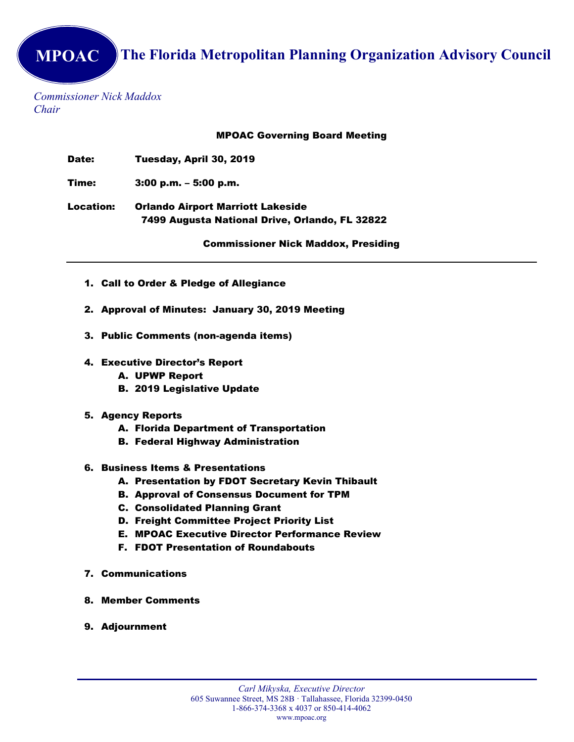Commissioner Nick Maddox Chair

MPOAC Governing Board Meeting

Date: Tuesday, April 30, 2019

Time: 3:00 p.m. – 5:00 p.m.

Location: Orlando Airport Marriott Lakeside 7499 Augusta National Drive, Orlando, FL 32822

Commissioner Nick Maddox, Presiding

- 1. Call to Order & Pledge of Allegiance
- 2. Approval of Minutes: January 30, 2019 Meeting
- 3. Public Comments (non-agenda items)
- 4. Executive Director's Report
	- A. UPWP Report
	- B. 2019 Legislative Update
- 5. Agency Reports
	- A. Florida Department of Transportation
	- B. Federal Highway Administration
- 6. Business Items & Presentations
	- A. Presentation by FDOT Secretary Kevin Thibault
	- B. Approval of Consensus Document for TPM
	- C. Consolidated Planning Grant
	- D. Freight Committee Project Priority List
	- E. MPOAC Executive Director Performance Review
	- F. FDOT Presentation of Roundabouts
- 7. Communications
- 8. Member Comments
- 9. Adjournment